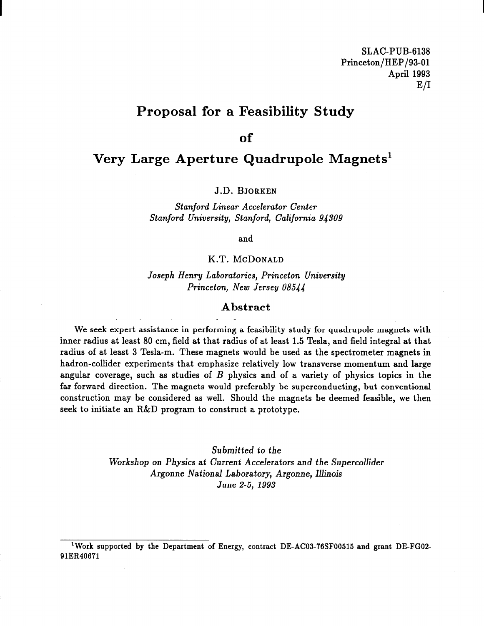### Proposal for a Feasibility Study

#### of

### Very Large Aperture Quadrupole Magnets'

J.D. BJORKEN

Stanford Linear Accelerator Center Stanford University, Stanford, California 94309

and

#### K.T. MCDONALD

Joseph Henry Laboratories, Princeton University Princeton, New Jersey 08544

#### Abstract

We seek expert assistance in performing a feasibility study for quadrupole magnets with inner radius at least 80 cm, field at that radius of at least 1.5 Tesla, and field integral at that radius of at least 3 Tesla-m. These magnets would be used as the spectrometer magnets in hadron-collider experiments that emphasize relatively low transverse momentum and large angular coverage, such as studies of  $B$  physics and of a variety of physics topics in the far-forward direction. The magnets would preferably be superconducting, but conventional construction may be considered as well. Should the magnets be deemed feasible, we then seek to initiate an R&D program to construct a prototype.

> Submitted to the Workshop on Physics at Current Accelerators and the Supercollider Argonne National Laboratory, Argonne, Illinois June 2-5, 1993

<sup>&</sup>lt;sup>1</sup>Work supported by the Department of Energy, contract DE-AC03-76SF00515 and grant DE-FG02-91ER40671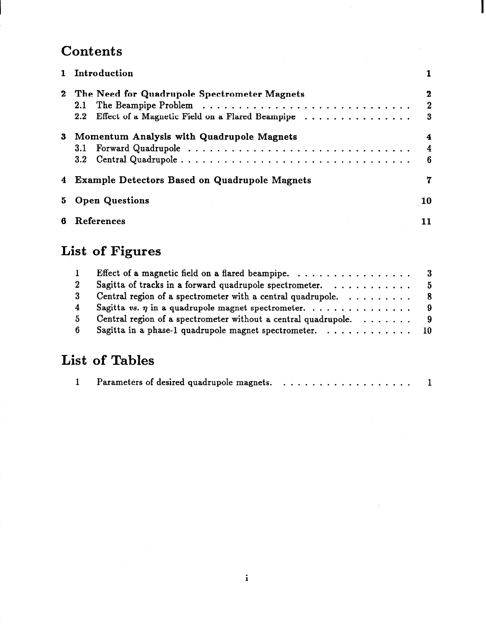## **Contents**

|    | 1 Introduction                                                                                               |                               |
|----|--------------------------------------------------------------------------------------------------------------|-------------------------------|
|    | 2 The Need for Quadrupole Spectrometer Magnets<br>2.1<br>2.2 Effect of a Magnetic Field on a Flared Beampipe | 2<br>$\mathbf{2}$<br>$\bf{3}$ |
| 3  | Momentum Analysis with Quadrupole Magnets                                                                    | 4<br>4<br>6                   |
|    | 4 Example Detectors Based on Quadrupole Magnets                                                              | 7                             |
| 5. | <b>Open Questions</b>                                                                                        | 10                            |
| 6  | References                                                                                                   | 11                            |

 $\mathcal{A}^{\mathcal{A}}$ 

# List of Figures

| $\mathbf{1}$   | Effect of a magnetic field on a flared beampipe. $\ldots \ldots \ldots \ldots \ldots$ 3 |  |
|----------------|-----------------------------------------------------------------------------------------|--|
| $2^{\circ}$    | Sagitta of tracks in a forward quadrupole spectrometer. $\ldots \ldots \ldots$ 5        |  |
| 3 <sup>1</sup> | Central region of a spectrometer with a central quadrupole. $\ldots \ldots \ldots$ 8    |  |
| $\overline{4}$ | Sagitta vs. $\eta$ in a quadrupole magnet spectrometer. 9                               |  |
| 5.             | Central region of a spectrometer without a central quadrupole. $\ldots \ldots$ 9        |  |
| 6.             | Sagitta in a phase-1 quadrupole magnet spectrometer. 10                                 |  |
|                |                                                                                         |  |

# List of Tables

|--|--|--|--|--|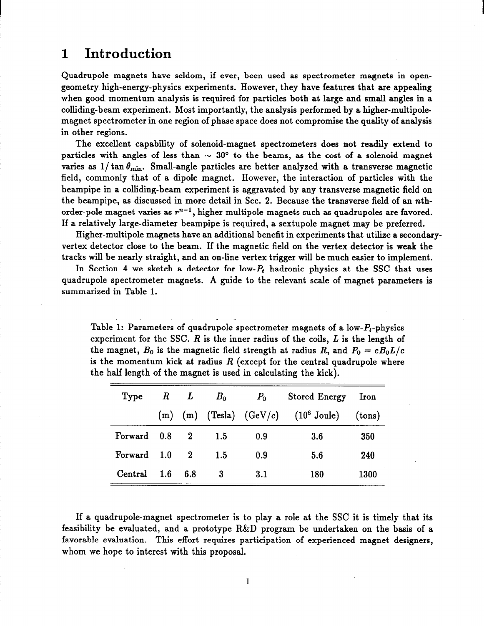### 1 Introduction

Quadrupole magnets have seldom, if ever, been used as spectrometer magnets in opengeometry high-energy-physics experiments. However, they have features that are appealing when good momentum analysis is required for particles both at large and small angles in a colliding-beam experiment. Most importantly, the analysis performed by a higher-multipolemagnet spectrometer in one region of phase space does not compromise the quality of analysis in other regions.

The excellent capability of solenoid-magnet spectrometers does not readily extend to particles with angles of less than  $\sim 30^{\circ}$  to the beams, as the cost of a solenoid magnet varies as  $1/\tan \theta_{\text{min}}$ . Small-angle particles are better analyzed with a transverse magnetic field, commonly that of a dipole magnet. However, the interaction of particles with the beampipe in a colliding-beam experiment is aggravated by any transverse magnetic field on the beampipe, as discussed in more detail in Sec. 2. Because the transverse field of an nthorder-pole magnet varies as  $r^{n-1}$ , higher-multipole magnets such as quadrupoles are favored. If a relatively large-diameter beampipe is required, a sextupole magnet may be preferred.

Higher-multipole magnets have an additional benefit in experiments that utilize a secondaryvertex detector close to the beam. If the magnetic field on the vertex detector is weak the tracks will be nearly straight, and an on-line vertex trigger will be much easier to implement.

In Section 4 we sketch a detector for low- $P_t$  hadronic physics at the SSC that uses quadrupole spectrometer magnets. A guide to the relevant scale of magnet parameters is summarized in Table 1.

Table 1: Parameters of quadrupole spectrometer magnets of a low- $P_t$ -physics experiment for the SSC.  $R$  is the inner radius of the coils,  $L$  is the length of the magnet,  $B_0$  is the magnetic field strength at radius R, and  $P_0 = eB_0L/c$ is the momentum kick at radius  $R$  (except for the central quadrupole where the half length of the magnet is used in calculating the kick).

-

| Type        | $R$ $L$ |              | $B_0$ | $P_0$   | <b>Stored Energy</b>                                | Iron   |
|-------------|---------|--------------|-------|---------|-----------------------------------------------------|--------|
|             |         |              |       |         | $(m)$ (m) (Tesla) $(GeV/c)$ (10 <sup>6</sup> Joule) | (tons) |
| Forward 0.8 |         | $\sim$ 2     | 1.5   | 0.9     | 3.6                                                 | 350    |
| Forward 1.0 |         | $\mathbf{2}$ | 1.5   | 0.9     | 5.6                                                 | 240    |
| Central     | 1.6     | 6.8          | 3     | $3.1\,$ | 180                                                 | 1300   |

If a quadrupole-magnet spectrometer is to play a role at the SSC it is timely that its feasibility be evaluated, and a prototype R&D program be undertaken on the basis of a favorable evaluation. This effort requires participation of experienced magnet designers, whom we hope to interest with this proposal.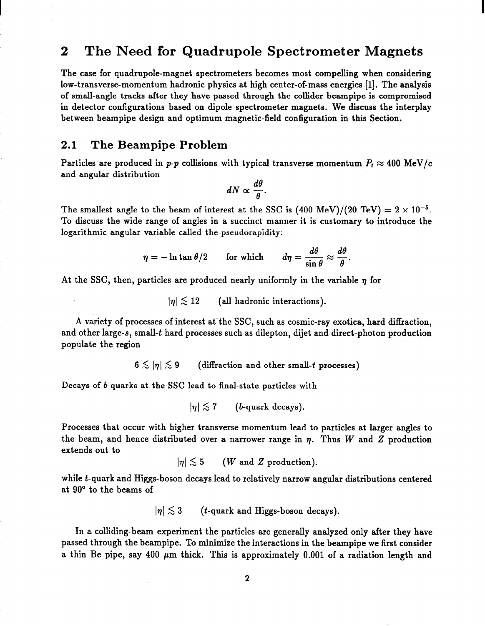### 2 The Need for Quadrupole Spectrometer Magnets

The case for quadrupole-magnet spectrometers becomes most compelling when considering low-transverse-momentum hadronic physics at high center-of-mass energies [l]. The analysis of small-angle tracks after they have passed through the collider beampipe is compromised in detector configurations based on dipole spectrometer magnets. We discuss the interplay between beampipe design and optimum magnetic-field configuration in this Section.

#### 2.1 The Beampipe Problem

Particles are produced in p-p collisions with typical transverse momentum  $P_t \approx 400 \text{ MeV}/c$ and angular distribution

$$
dN \propto \frac{d\theta}{\theta}.
$$

The smallest angle to the beam of interest at the SSC is  $(400 \text{ MeV})/(20 \text{ TeV}) = 2 \times 10^{-5}$ . To discuss the wide range of angles in a succinct manner it is customary to introduce the logarithmic angular variable called the pseudorapidity:

$$
\eta = -\ln \tan \theta/2 \qquad \text{for which} \qquad d\eta = \frac{d\theta}{\sin \theta} \approx \frac{d\theta}{\theta}.
$$

At the SSC, then, particles are produced nearly uniformly in the variable  $\eta$  for

 $|n| \lesssim 12$  (all hadronic interactions).

A variety of processes of interest at the SSC, such as cosmic-ray exotica, hard diffraction, and other large-s, small-t hard processes such as dilepton, dijet and direct-photon production populate the region

 $6 \lesssim |\eta| \lesssim 9$  (diffraction and other small-t processes)

Decays of b quarks at the SSC lead to final-state particles with

 $|\eta| \lesssim 7$  (*b*-quark decays).

Processes that occur with higher transverse momentum lead to particles at larger angles to the beam, and hence distributed over a narrower range in  $\eta$ . Thus W and Z production extends out to

$$
|\eta| \lesssim 5 \qquad (W \text{ and } Z \text{ production}).
$$

while t-quark and Higgs-boson decays lead to relatively narrow angular distributions centered at 90" to the beams of

 $|\eta| \lesssim 3$  (*t*-quark and Higgs-boson decays).

In a colliding-beam experiment the particles are generally analyzed only after they have passed through the beampipe. To minimize the interactions in the beampipe we first consider a thin Be pipe, say 400  $\mu$ m thick. This is approximately 0.001 of a radiation length and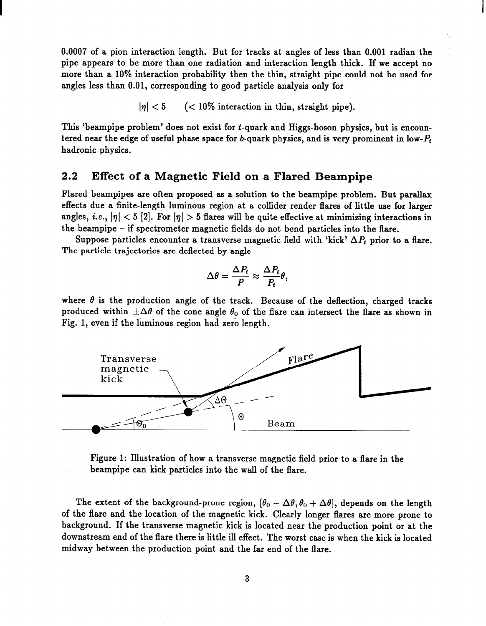0.0007 of a pion interaction length. But for tracks at angles of less than 0.001 radian the pipe appears to be more than one radiation and interaction length thick. If we accept no more than a 10% interaction probability then the thin, straight pipe could not be used for angles less than 0.01, corresponding to good particle analysis only for

 $|\eta|$  < 5 (< 10% interaction in thin, straight pipe).

This 'beampipe problem' does not exist for t-quark and Higgs-boson physics, but is encountered near the edge of useful phase space for b-quark physics, and is very prominent in low- $P_t$ hadronic physics.

#### 2.2 Effect of a Magnetic Field on a Flared Beampipe

Flared beampipes are often proposed as a solution to the beampipe problem. But parallax effects due a finite-length luminous region at a collider render flares of little use for larger angles, i.e.,  $|\eta| < 5$  [2]. For  $|\eta| > 5$  flares will be quite effective at minimizing interactions in the beampipe - if spectrometer magnetic fields do not bend particles into the flare.

Suppose particles encounter a transverse magnetic field with 'kick'  $\Delta P_t$  prior to a flare. The particle trajectories are deflected by angle

$$
\Delta \theta = \frac{\Delta P_t}{P} \approx \frac{\Delta P_t}{P_t} \theta,
$$

where  $\theta$  is the production angle of the track. Because of the deflection, charged tracks produced within  $\pm\Delta\theta$  of the cone angle  $\theta_0$  of the flare can intersect the flare as shown in Fig. 1, even if the luminous region had zero length.



Figure 1: Illustration of how a transverse magnetic field prior to a flare in the beampipe can kick particles into the wall of the flare.

The extent of the background-prone region,  $[\theta_0 - \Delta\theta, \theta_0 + \Delta\theta]$ , depends on the length of the flare and the location of the magnetic kick. Clearly longer flares are more prone to background. If the transverse magnetic kick is located near the production point or at the downstream end of the flare there is little ill effect. The worst case is when the kick is located midway between the production point and the far end of the flare.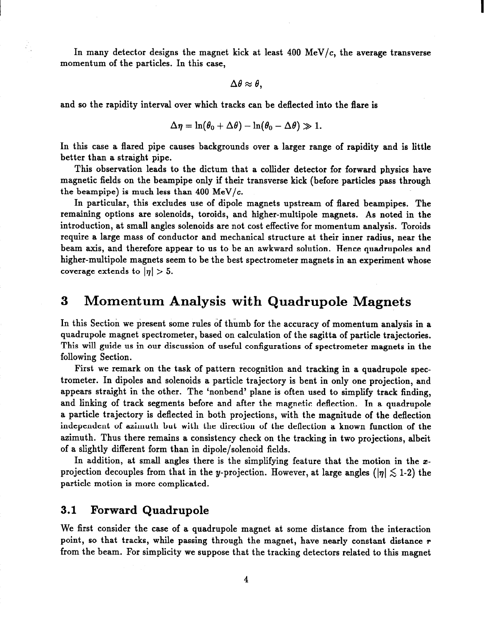In many detector designs the magnet kick at least  $400 \text{ MeV}/c$ , the average transverse momentum of the particles. In this case,

 $\Delta\theta \approx \theta$ ,

and so the rapidity interval over which tracks can be deflected into the flare is

$$
\Delta \eta = \ln(\theta_0 + \Delta \theta) - \ln(\theta_0 - \Delta \theta) \gg 1.
$$

In this case a flared pipe causes backgrounds over a larger range of rapidity and is little better than a straight pipe.

This observation leads to the dictum that a collider detector for forward physics have magnetic fields on the beampipe only if their transverse kick (before particles pass through the beampipe) is much less than 400 MeV/ $c$ .

In particular, this excludes use of dipole magnets upstream of flared beampipes. The remaining options are solenoids, toroids, and higher-multipole magnets. As noted in the introduction, at small angles solenoids are not cost effective for momentum analysis. Toroids require a large mass of conductor and mechanical structure at their inner radius, near the beam axis, and therefore appear to us to be an awkward solution. Hence quadrupoles and higher-multipole magnets seem to be the best spectrometer magnets in an experiment whose coverage extends to  $|\eta| > 5$ .

### 3 Momentum Analysis with Quadrupole Magnets

In this Section we present some rules of thumb for the accuracy of momentum analysis in a quadrupole magnet spectrometer, based on calculation of the sagitta of particle trajectories. This will guide us in our discussion of useful configurations of spectrometer magnets in the following Section.

First we remark on the task of pattern recognition and tracking in a quadrupole spectrometer. In dipoles and solenoids a particle trajectory is bent in only one projection, and appears straight in the other. The 'nonbend' plane is often used to simplify track finding, and linking of track segments before and after the magnetic deflection. In a quadrupole a particle trajectory is deflected in both projections, with the magnitude of the deflection independent of azimuth but with the direction of the deflection a known function of the azimuth. Thus there remains a consistency check on the tracking in two projections, albeit of a slightly different form than in dipole/solenoid fields.

In addition, at small angles there is the simplifying feature that the motion in the  $x$ projection decouples from that in the y-projection. However, at large angles ( $|\eta| \lesssim 1-2$ ) the particle motion is more complicated.

### 3.1 Forward Quadrupole

 $\frac{1}{2}$ 

We first consider the case of a quadrupole magnet at some distance from the interaction point, so that tracks, while passing through the magnet, have nearly constant distance r from the beam. For simplicity we suppose that the tracking detectors related to this magnet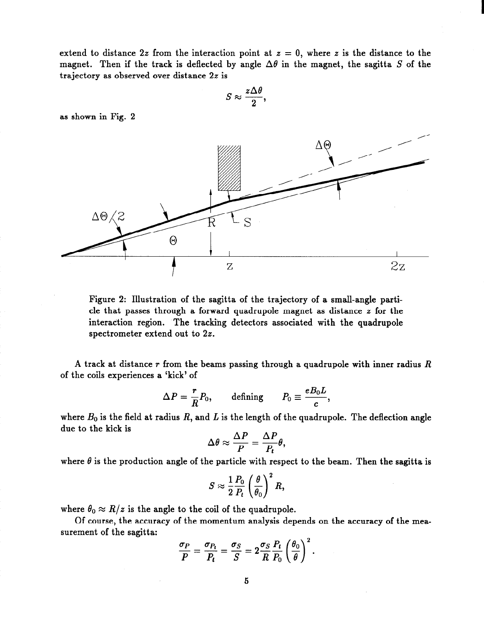extend to distance 2z from the interaction point at  $z = 0$ , where z is the distance to the magnet. Then if the track is deflected by angle  $\Delta\theta$  in the magnet, the sagitta S of the trajectory as observed over distance 22 is

$$
S\approx \frac{z\Delta\theta}{2},
$$

as shown in Fig. 2



Figure 2: Illustration of the sagitta of the trajectory of a small-angle particle that passes through a forward quadrupole magnet as distance  $z$  for the interaction region. The tracking detectors associated with the quadrupole spectrometer extend out to 22.

A track at distance  $r$  from the beams passing through a quadrupole with inner radius  $R$ of the coils experiences a 'kick' of

$$
\Delta P = \frac{r}{R} P_0, \quad \text{defining} \quad P_0 \equiv \frac{e B_0 L}{c},
$$

where  $B_0$  is the field at radius R, and L is the length of the quadrupole. The deflection angle due to the kick is

$$
\Delta \theta \approx \frac{\Delta P}{P} = \frac{\Delta P}{P_t} \theta,
$$

where  $\theta$  is the production angle of the particle with respect to the beam. Then the sagitta is

$$
S \approx \frac{1}{2} \frac{P_0}{P_t} \left(\frac{\theta}{\theta_0}\right)^2 R,
$$

where  $\theta_0 \approx R/z$  is the angle to the coil of the quadrupole.

Of course, the accuracy of the momentum analysis depends on the accuracy of the measurement of the sagitta:

$$
\frac{\sigma_P}{P} = \frac{\sigma_{P_t}}{P_t} = \frac{\sigma_S}{S} = 2\frac{\sigma_S}{R}\frac{P_t}{P_0}\left(\frac{\theta_0}{\theta}\right)^2.
$$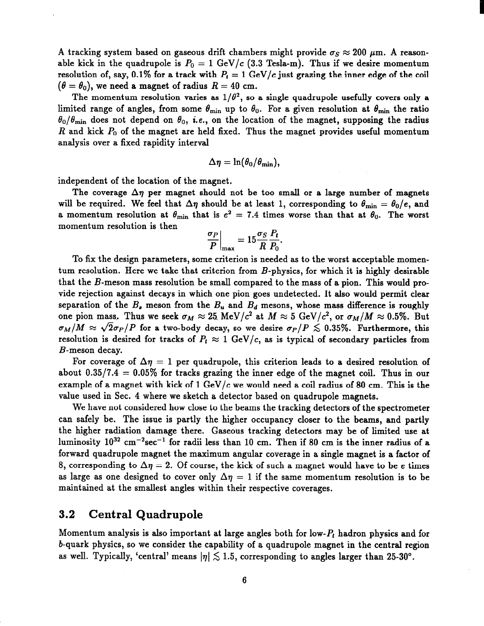A tracking system based on gaseous drift chambers might provide  $\sigma_S \approx 200$   $\mu$ m. A reasonable kick in the quadrupole is  $P_0 = 1$  GeV/c (3.3 Tesla-m). Thus if we desire momentum resolution of, say, 0.1% for a track with  $P_t = 1$  GeV/c just grazing the inner edge of the coil  $(\theta = \theta_0)$ , we need a magnet of radius  $R = 40$  cm.

The momentum resolution varies as  $1/\theta^2$ , so a single quadrupole usefully covers only a limited range of angles, from some  $\theta_{\min}$  up to  $\theta_0$ . For a given resolution at  $\theta_{\min}$  the ratio  $\theta_0/\theta_{\min}$  does not depend on  $\theta_0$ , i.e., on the location of the magnet, supposing the radius R and kick  $P_0$  of the magnet are held fixed. Thus the magnet provides useful momentum analysis over a fixed rapidity interval

$$
\Delta\eta=\ln(\theta_0/\theta_{\min}),
$$

independent of the location of the magnet.

The coverage  $\Delta \eta$  per magnet should not be too small or a large number of magnets will be required. We feel that  $\Delta \eta$  should be at least 1, corresponding to  $\theta_{\rm min} = \theta_0/e$ , and a momentum resolution at  $\theta_{\min}$  that is  $e^2 = 7.4$  times worse than that at  $\theta_0$ . The worst momentum resolution is then

$$
\left. \frac{\sigma_P}{P} \right|_{\text{max}} = 15 \frac{\sigma_S}{R} \frac{P_t}{P_0}.
$$

To fix the design parameters, some criterion is needed as to the worst acceptable momentum resolution. Here we take that criterion from B-physics, for which it is highly desirable that the  $B$ -meson mass resolution be small compared to the mass of a pion. This would provide rejection against decays in which one pion goes undetected. It also would permit clear separation of the  $B_s$  meson from the  $B_u$  and  $B_d$  mesons, whose mass difference is roughly one pion mass. Thus we seek  $\sigma_M \approx 25$ . MeV/c<sup>2</sup> at  $M \approx 5$  GeV/c<sup>2</sup>, or  $\sigma_M/M \approx 0.5\%$ . But  $\sigma_M/M \approx \sqrt{2\sigma_P/P}$  for a two-body decay, so we desire  $\sigma_P/P \lesssim 0.35\%$ . Furthermore, this resolution is desired for tracks of  $P_t \approx 1$  GeV/c, as is typical of secondary particles from B-meson decay.

For coverage of  $\Delta \eta = 1$  per quadrupole, this criterion leads to a desired resolution of about  $0.35/7.4 = 0.05\%$  for tracks grazing the inner edge of the magnet coil. Thus in our example of a magnet with kick of 1 GeV/ $c$  we would need a coil radius of 80 cm. This is the value used in Sec. 4 where we sketch a detector based on quadrupole magnets.

We have not considered how close to the beams the tracking detectors of the spectrometer can safely be. The issue is partly the higher occupancy closer to the beams, and partly the higher radiation damage there. Gaseous tracking detectors may be of limited use at luminosity  $10^{32}$  cm<sup>-2</sup>sec<sup>-1</sup> for radii less than 10 cm. Then if 80 cm is the inner radius of a forward quadrupole magnet the maximum angular coverage in a single magnet is a factor of 8, corresponding to  $\Delta \eta = 2$ . Of course, the kick of such a magnet would have to be e times as large as one designed to cover only  $\Delta \eta = 1$  if the same momentum resolution is to be maintained at the smallest angles within their respective coverages.

#### 3.2 Central Quadrupole

Momentum analysis is also important at large angles both for low- $P_t$  hadron physics and for b-quark physics, so we consider the capability of a quadrupole magnet in the central region as well. Typically, 'central' means  $|\eta| \lesssim 1.5$ , corresponding to angles larger than 25-30°.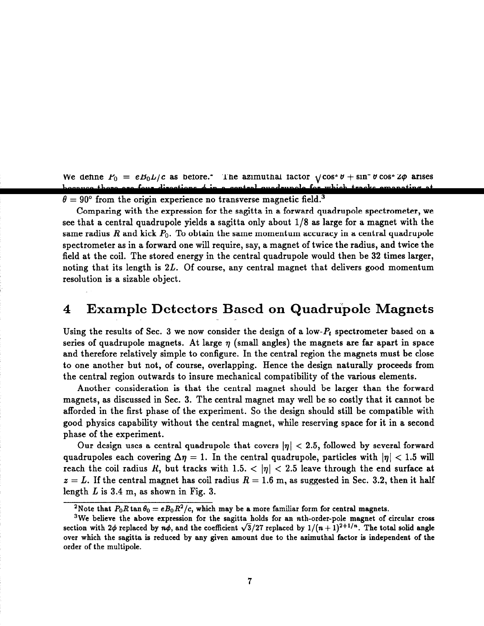$\theta = 90^{\circ}$  from the origin experience no transverse magnetic field.<sup>3</sup>

Comparing with the expression for the sagitta in a forward quadrupole spectrometer, we see that a central quadrupole yields a sagitta only about  $1/8$  as large for a magnet with the same radius  $R$  and kick  $P_0$ . To obtain the same momentum accuracy in a central quadrupole spectrometer as in a forward one will require, say, a magnet of twice the radius, and twice the field at the coil. The stored energy in the central quadrupole would then be 32 times larger, noting that its length is 2L. Of course, any central magnet that delivers good momentum resolution is a sizable object.

#### $4$   $\,$  Example Detectors Based on Quadrupole Magne  $\mathbf{u}$

Using the results of Sec. 3 we now consider the design of a low- $P_t$  spectrometer based on a series of quadrupole magnets. At large  $\eta$  (small angles) the magnets are far apart in space and therefore relatively simple to configure. In the central region the magnets must be close to one another but not, of course, overlapping. Hence the design naturally proceeds from the central region outwards to insure mechanical compatibility of the various elements.

Another consideration is that the central magnet should be larger than the forward magnets, as discussed in Sec. 3. The central magnet may well be so costly that it cannot be afforded in the first phase of the experiment. So the design should still be compatible with good physics capability without the central magnet, while reserving space for it in a second phase of the experiment.

Our design uses a central quadrupole that covers  $|\eta| < 2.5$ , followed by several forward quadrupoles each covering  $\Delta \eta = 1$ . In the central quadrupole, particles with  $|\eta| < 1.5$  will reach the coil radius R, but tracks with 1.5.  $< |\eta| < 2.5$  leave through the end surface at  $z = L$ . If the central magnet has coil radius  $R = 1.6$  m, as suggested in Sec. 3.2, then it half length  $L$  is 3.4 m, as shown in Fig. 3.

<sup>&</sup>lt;sup>2</sup>Note that  $P_0R \tan \theta_0 = eB_0R^2/c$ , which may be a more familiar form for central magnets.

<sup>&</sup>lt;sup>3</sup>We believe the above expression for the sagitta holds for an nth-order-pole magnet of circular cross section with  $2\phi$  replaced by  $n\phi$ , and the coefficient  $\sqrt{3}/27$  replaced by  $1/(n + 1)^{2+1/n}$ . The total solid angle over which the sagitta is reduced by any given amount due to the azimuthal factor is independent of the order of the multipole.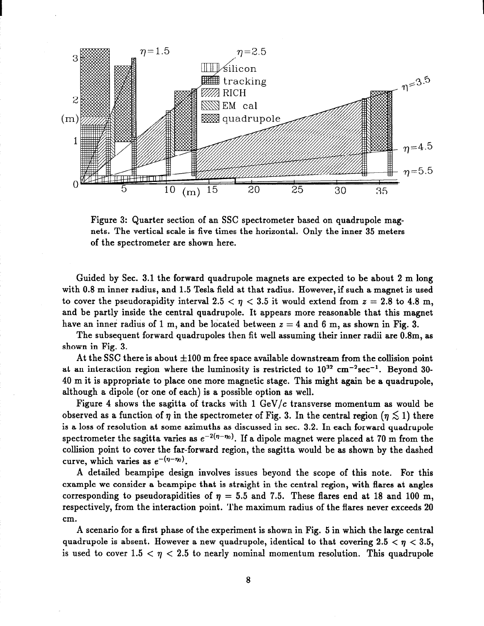

Figure 3: Quarter section of an SSC spectrometer based on quadrupole magnets. The vertical scale is five times the horizontal. Only the inner 35 meters of the spectrometer are shown here.

Guided by Sec. 3.1 the forward quadrupole magnets are expected to be about 2 m long with 0.8 m inner radius, and 1.5 Tesla field at that radius. However, if such a magnet is used to cover the pseudorapidity interval 2.5  $< \eta < 3.5$  it would extend from  $z = 2.8$  to 4.8 m, and be partly inside the central quadrupole. It appears more reasonable that this magnet have an inner radius of 1 m, and be located between  $z = 4$  and 6 m, as shown in Fig. 3.

The subsequent forward quadrupoles then fit well assuming their inner radii are 0.8m, as shown in Fig. 3.

At the SSC there is about  $\pm 100$  m free space available downstream from the collision point at an interaction region where the luminosity is restricted to  $10^{32}$  cm<sup>-2</sup>sec<sup>-1</sup>. Beyond 30-40 m it is appropriate to place one more magnetic stage. This might again be a quadrupole, although a dipole (or one of each) is a possible option as well.

Figure 4 shows the sagitta of tracks with  $1 \text{ GeV}/c$  transverse momentum as would be observed as a function of  $\eta$  in the spectrometer of Fig. 3. In the central region ( $\eta \lesssim 1$ ) there is a loss of resolution at some azimuths as discussed in sec. 3.2. In each forward quadrupole spectrometer the sagitta varies as  $e^{-2(\eta-\eta_0)}$ . If a dipole magnet were placed at 70 m from the collision point to cover the far-forward region, the sagitta would be as shown by the dashed curve, which varies as  $e^{-(\eta-\eta_0)}$ .

A detailed beampipe design involves issues beyond the scope of this note. For this example we consider a beampipe that is straight in the central region, with flares at angles corresponding to pseudorapidities of  $\eta = 5.5$  and 7.5. These flares end at 18 and 100 m, respectively, from the interaction point. The maximum radius of the flares never exceeds 20 cm.

A scenario for a first phase of the experiment is shown in Fig. 5 in which the large central quadrupole is absent. However a new quadrupole, identical to that covering  $2.5 < \eta < 3.5$ , is used to cover  $1.5 < \eta < 2.5$  to nearly nominal momentum resolution. This quadrupole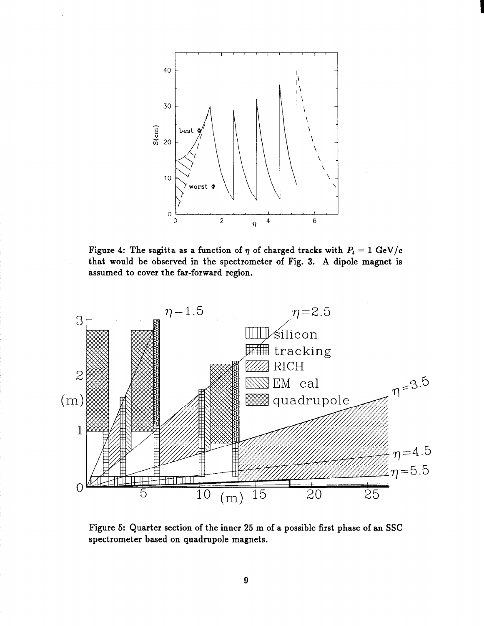

Figure 4: The sagitta as a function of  $\eta$  of charged tracks with  $P_t = 1 \text{ GeV}/c$ that would be observed in the spectrometer of Fig. 3. A dipole magnet is assumed to cover the far-forward region.



Figure 5: Quarter section of the inner 25 m of a possible first phase of an SSC spectrometer based on quadrupole magnets.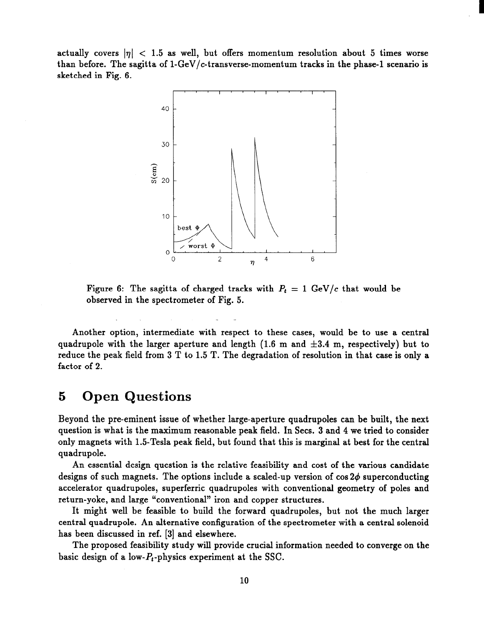actually covers  $|v| < 1.5$  as well, but offers momentum resolution about 5 times worse than before. The sagitta of  $1-GeV/c$ -transverse-momentum tracks in the phase-1 scenario is sketched in Fig. 6.

I



Figure 6: The sagitta of charged tracks with  $P_t = 1$  GeV/c that would be observed in the spectrometer of Fig. 5.

Another option, intermediate with respect to these cases, would be to use a central quadrupole with the larger aperture and length (1.6 m and  $\pm 3.4$  m, respectively) but to reduce the peak field from 3 T to 1.5 T. The degradation of resolution in that case is only a factor of 2.

### 5 Open Questions

Beyond the pre-eminent issue of whether large-aperture quadrupoles can be built, the next question is what is the maximum reasonable peak field. In Secs. 3 and 4 we tried to consider only magnets with 1.5-Tesla peak field, but found that this is marginal at best for the central quadrupole.

An essential design question is the relative feasibility and cost of the various candidate designs of such magnets. The options include a scaled-up version of  $\cos 2\phi$  superconducting accelerator quadrupoles, superferric quadrupoles with conventional geometry of poles and return-yoke, and large "conventional" iron and copper structures.

It might well be feasible to build the forward quadrupoles, but not the much larger central quadrupole. An alternative configuration of the spectrometer with a central solenoid has been discussed in ref. [3] and elsewhere.

The proposed feasibility study will provide crucial information needed to converge on the basic design of a low- $P_t$ -physics experiment at the SSC.